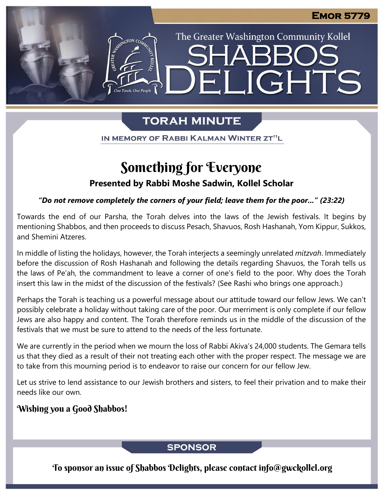The Greater Washington Community Kollel

ELIGHTS

# **TORAH MINUTE**

IN MEMORY OF RABBI KALMAN WINTER ZT"L

# Something for Everyone

### **Presented by Rabbi Moshe Sadwin, Kollel Scholar**

### *"Do not remove completely the corners of your field; leave them for the poor..." (23:22)*

Towards the end of our Parsha, the Torah delves into the laws of the Jewish festivals. It begins by mentioning Shabbos, and then proceeds to discuss Pesach, Shavuos, Rosh Hashanah, Yom Kippur, Sukkos, and Shemini Atzeres.

In middle of listing the holidays, however, the Torah interjects a seemingly unrelated *mitzvah*. Immediately before the discussion of Rosh Hashanah and following the details regarding Shavuos, the Torah tells us the laws of Pe'ah, the commandment to leave a corner of one's field to the poor. Why does the Torah insert this law in the midst of the discussion of the festivals? (See Rashi who brings one approach.)

Perhaps the Torah is teaching us a powerful message about our attitude toward our fellow Jews. We can't possibly celebrate a holiday without taking care of the poor. Our merriment is only complete if our fellow Jews are also happy and content. The Torah therefore reminds us in the middle of the discussion of the festivals that we must be sure to attend to the needs of the less fortunate.

We are currently in the period when we mourn the loss of Rabbi Akiva's 24,000 students. The Gemara tells us that they died as a result of their not treating each other with the proper respect. The message we are to take from this mourning period is to endeavor to raise our concern for our fellow Jew.

Let us strive to lend assistance to our Jewish brothers and sisters, to feel their privation and to make their needs like our own.

## Wishing you a Good Shabbos!

## **SPONSOR**

To sponsor an issue of Shabbos Delights, please contact info@gwckollel.org